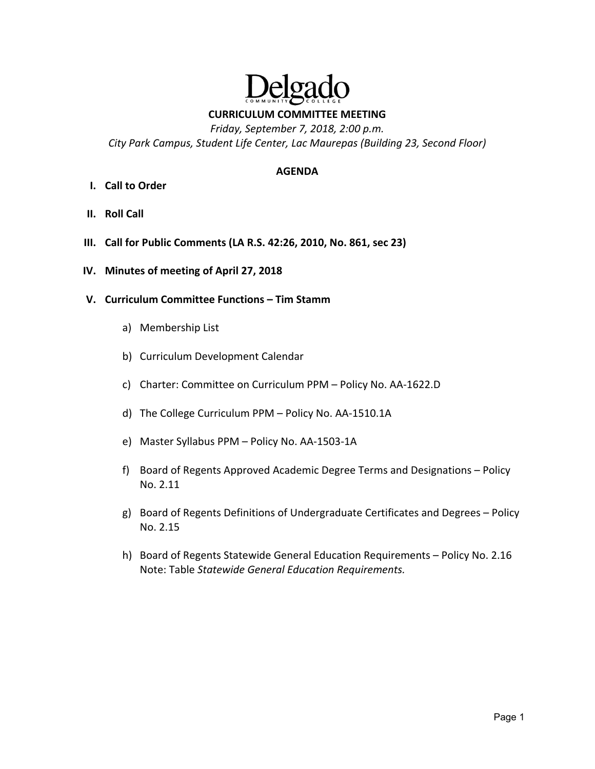

**CURRICULUM COMMITTEE MEETING** 

*Friday, September 7, 2018, 2:00 p.m. City Park Campus, Student Life Center, Lac Maurepas (Building 23, Second Floor)* 

#### **AGENDA**

- **I. Call to Order**
- **II. Roll Call**
- **III. Call for Public Comments (LA R.S. 42:26, 2010, No. 861, sec 23)**
- **IV. Minutes of meeting of April 27, 2018**
- **V. Curriculum Committee Functions Tim Stamm**
	- a) Membership List
	- b) Curriculum Development Calendar
	- c) Charter: Committee on Curriculum PPM Policy No. AA‐1622.D
	- d) The College Curriculum PPM Policy No. AA‐1510.1A
	- e) Master Syllabus PPM Policy No. AA‐1503‐1A
	- f) Board of Regents Approved Academic Degree Terms and Designations Policy No. 2.11
	- g) Board of Regents Definitions of Undergraduate Certificates and Degrees Policy No. 2.15
	- h) Board of Regents Statewide General Education Requirements Policy No. 2.16 Note: Table *Statewide General Education Requirements.*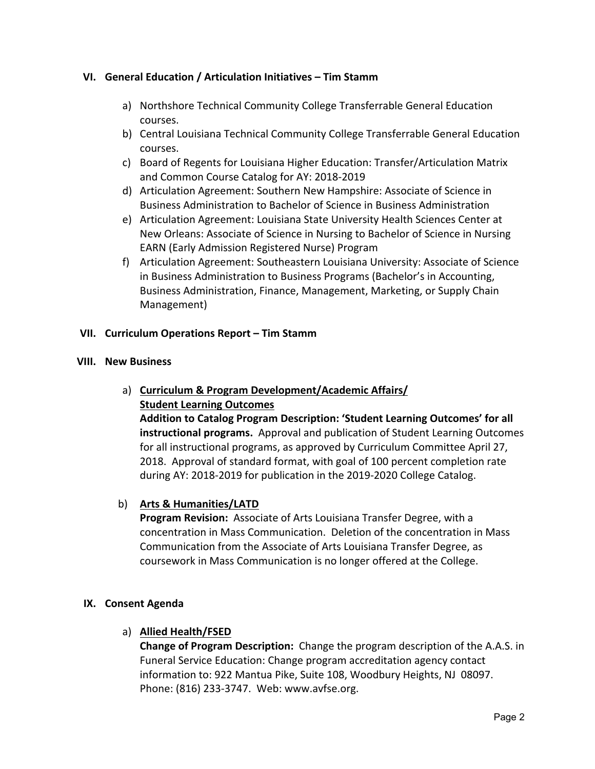### **VI. General Education / Articulation Initiatives – Tim Stamm**

- a) Northshore Technical Community College Transferrable General Education courses.
- b) Central Louisiana Technical Community College Transferrable General Education courses.
- c) Board of Regents for Louisiana Higher Education: Transfer/Articulation Matrix and Common Course Catalog for AY: 2018‐2019
- d) Articulation Agreement: Southern New Hampshire: Associate of Science in Business Administration to Bachelor of Science in Business Administration
- e) Articulation Agreement: Louisiana State University Health Sciences Center at New Orleans: Associate of Science in Nursing to Bachelor of Science in Nursing EARN (Early Admission Registered Nurse) Program
- f) Articulation Agreement: Southeastern Louisiana University: Associate of Science in Business Administration to Business Programs (Bachelor's in Accounting, Business Administration, Finance, Management, Marketing, or Supply Chain Management)

### **VII. Curriculum Operations Report – Tim Stamm**

#### **VIII. New Business**

# a) **Curriculum & Program Development/Academic Affairs/ Student Learning Outcomes**

**Addition to Catalog Program Description: 'Student Learning Outcomes' for all instructional programs.** Approval and publication of Student Learning Outcomes for all instructional programs, as approved by Curriculum Committee April 27, 2018. Approval of standard format, with goal of 100 percent completion rate during AY: 2018‐2019 for publication in the 2019‐2020 College Catalog.

# b) **Arts & Humanities/LATD**

**Program Revision:** Associate of Arts Louisiana Transfer Degree, with a concentration in Mass Communication. Deletion of the concentration in Mass Communication from the Associate of Arts Louisiana Transfer Degree, as coursework in Mass Communication is no longer offered at the College.

#### **IX. Consent Agenda**

# a) **Allied Health/FSED**

**Change of Program Description:** Change the program description of the A.A.S. in Funeral Service Education: Change program accreditation agency contact information to: 922 Mantua Pike, Suite 108, Woodbury Heights, NJ 08097. Phone: (816) 233‐3747. Web: www.avfse.org.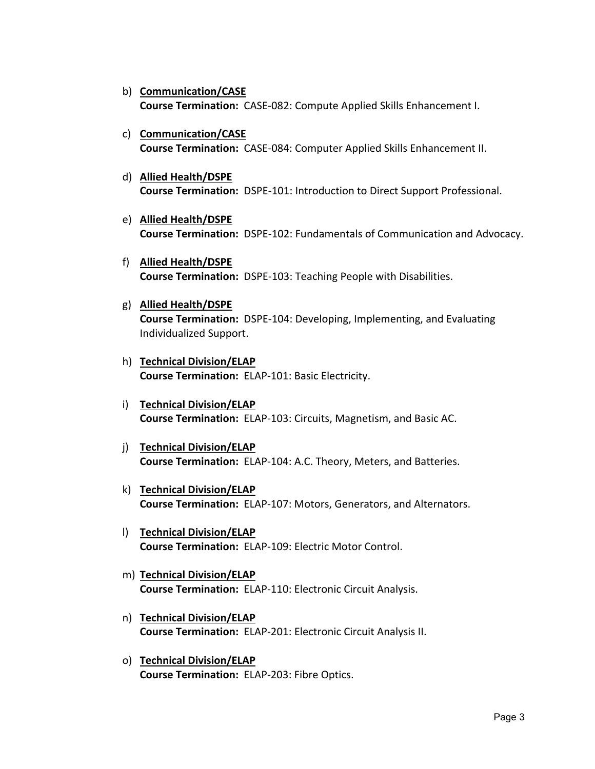- b) **Communication/CASE Course Termination: CASE-082: Compute Applied Skills Enhancement I.**
- c) **Communication/CASE Course Termination:** CASE‐084: Computer Applied Skills Enhancement II.
- d) **Allied Health/DSPE Course Termination:**  DSPE‐101: Introduction to Direct Support Professional.
- e) **Allied Health/DSPE Course Termination:**  DSPE‐102: Fundamentals of Communication and Advocacy.
- f) **Allied Health/DSPE Course Termination:** DSPE‐103: Teaching People with Disabilities.
- g) **Allied Health/DSPE Course Termination:** DSPE‐104: Developing, Implementing, and Evaluating Individualized Support.
- h) **Technical Division/ELAP Course Termination:**  ELAP‐101: Basic Electricity.
- i) **Technical Division/ELAP Course Termination:** ELAP‐103: Circuits, Magnetism, and Basic AC.
- j) **Technical Division/ELAP Course Termination:** ELAP‐104: A.C. Theory, Meters, and Batteries.
- k) **Technical Division/ELAP Course Termination:** ELAP‐107: Motors, Generators, and Alternators.
- l) **Technical Division/ELAP Course Termination:** ELAP‐109: Electric Motor Control.
- m) **Technical Division/ELAP Course Termination:** ELAP‐110: Electronic Circuit Analysis.
- n) **Technical Division/ELAP Course Termination:** ELAP‐201: Electronic Circuit Analysis II.
- o) **Technical Division/ELAP Course Termination:** ELAP‐203: Fibre Optics.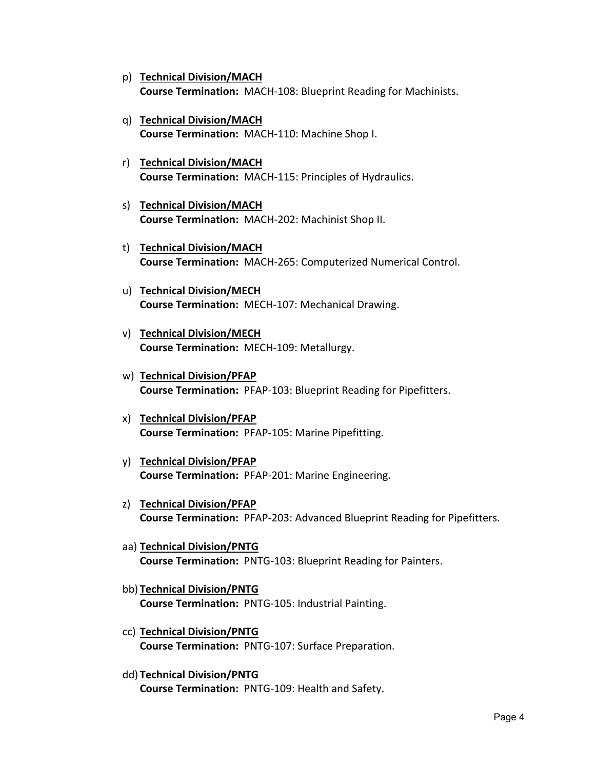- p) **Technical Division/MACH Course Termination:** MACH‐108: Blueprint Reading for Machinists.
- q) **Technical Division/MACH Course Termination: MACH-110: Machine Shop I.**
- r) **Technical Division/MACH Course Termination:** MACH‐115: Principles of Hydraulics.
- s) **Technical Division/MACH Course Termination:** MACH‐202: Machinist Shop II.
- t) **Technical Division/MACH Course Termination:** MACH‐265: Computerized Numerical Control.
- u) **Technical Division/MECH Course Termination:** MECH‐107: Mechanical Drawing.
- v) **Technical Division/MECH Course Termination:** MECH‐109: Metallurgy.
- w) **Technical Division/PFAP Course Termination:** PFAP‐103: Blueprint Reading for Pipefitters.
- x) **Technical Division/PFAP Course Termination: PFAP-105: Marine Pipefitting.**
- y) **Technical Division/PFAP Course Termination:** PFAP‐201: Marine Engineering.
- z) **Technical Division/PFAP Course Termination: PFAP-203: Advanced Blueprint Reading for Pipefitters.**
- aa) **Technical Division/PNTG Course Termination:** PNTG‐103: Blueprint Reading for Painters.
- bb) **Technical Division/PNTG Course Termination:** PNTG‐105: Industrial Painting.
- cc) **Technical Division/PNTG Course Termination:** PNTG‐107: Surface Preparation.
- dd) **Technical Division/PNTG Course Termination:** PNTG‐109: Health and Safety.